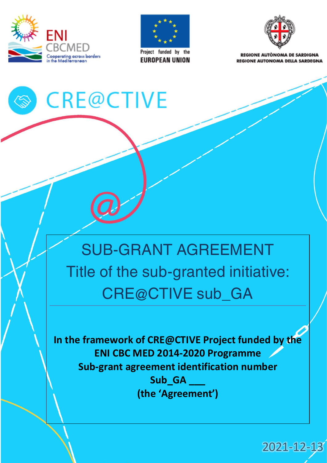

**AS** 



**EUROPEAN UNION** 



**PEGIONE AUTÒNOMA DE SAPDIGNA REGIONE AUTONOMA DELLA SARDEGNA** 

# **CRE@CTIVE**

# SUB-GRANT AGREEMENT Title of the sub-granted initiative: CRE@CTIVE sub\_GA

**In the framework of CRE@CTIVE Project funded by the ENI CBC MED 2014-2020 Programme Sub-grant agreement identification number Sub\_GA \_\_\_ (the 'Agreement')**

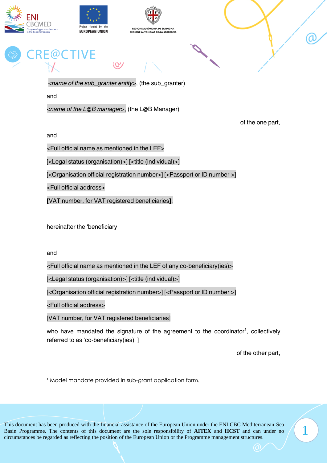





*<name of the sub\_granter entity>*, (the sub\_granter)

 $\circ$ 

and

*<name of the L@B manager>*, (the L@B Manager)

of the one part,

and

<Full official name as mentioned in the LEF>

[<Legal status (organisation)>] [<title (individual)>]

[<Organisation official registration number>] [<Passport or ID number >]

<Full official address>

**[**VAT number, for VAT registered beneficiaries**]**,

hereinafter the 'beneficiary

and

<Full official name as mentioned in the LEF of any co-beneficiary(ies)>

[<Legal status (organisation)>] [<title (individual)>]

[<Organisation official registration number>] [<Passport or ID number >]

<Full official address>

[VAT number, for VAT registered beneficiaries]

who have mandated the signature of the agreement to the coordinator<sup>1</sup>, collectively referred to as 'co-beneficiary(ies)' ]

of the other part,

1

<sup>&</sup>lt;sup>1</sup> Model mandate provided in sub-grant application form.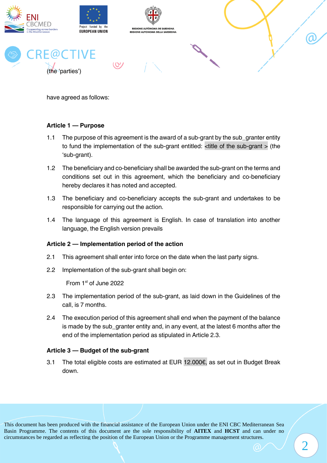

have agreed as follows:

#### **Article 1 — Purpose**

- 1.1 The purpose of this agreement is the award of a sub-grant by the sub\_granter entity to fund the implementation of the sub-grant entitled: <title of the sub-grant > (the 'sub-grant).
- 1.2 The beneficiary and co-beneficiary shall be awarded the sub-grant on the terms and conditions set out in this agreement, which the beneficiary and co-beneficiary hereby declares it has noted and accepted.
- 1.3 The beneficiary and co-beneficiary accepts the sub-grant and undertakes to be responsible for carrying out the action.
- 1.4 The language of this agreement is English. In case of translation into another language, the English version prevails

#### **Article 2 — Implementation period of the action**

- 2.1 This agreement shall enter into force on the date when the last party signs.
- 2.2 Implementation of the sub-grant shall begin on:

From 1st of June 2022

- 2.3 The implementation period of the sub-grant, as laid down in the Guidelines of the call, is 7 months.
- 2.4 The execution period of this agreement shall end when the payment of the balance is made by the sub\_granter entity and, in any event, at the latest 6 months after the end of the implementation period as stipulated in Article 2.3.

#### **Article 3 — Budget of the sub-grant**

3.1 The total eligible costs are estimated at EUR 12.000 $\varepsilon$ , as set out in Budget Break down.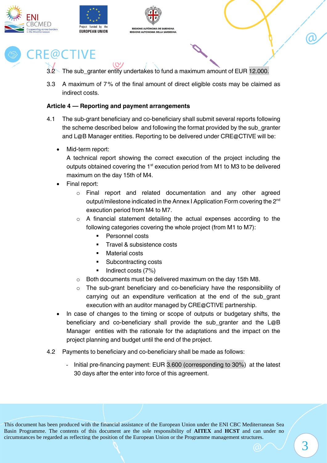





- 3.2 The sub granter entity undertakes to fund a maximum amount of EUR 12.000.
- 3.3 A maximum of 7% of the final amount of direct eligible costs may be claimed as indirect costs.

#### **Article 4 — Reporting and payment arrangements**

- 4.1 The sub-grant beneficiary and co-beneficiary shall submit several reports following the scheme described below and following the format provided by the sub\_granter and L@B Manager entities. Reporting to be delivered under CRE@CTIVE will be:
	- Mid-term report:

A technical report showing the correct execution of the project including the outputs obtained covering the 1<sup>st</sup> execution period from M1 to M3 to be delivered maximum on the day 15th of M4.

- Final report:
	- o Final report and related documentation and any other agreed output/milestone indicated in the Annex I Application Form covering the 2<sup>nd</sup> execution period from M4 to M7.
	- o A financial statement detailing the actual expenses according to the following categories covering the whole project (from M1 to M7):
		- Personnel costs
		- Travel & subsistence costs
		- **Material costs**
		- Subcontracting costs
		- Indirect costs (7%)
	- o Both documents must be delivered maximum on the day 15th M8.
	- o The sub-grant beneficiary and co-beneficiary have the responsibility of carrying out an expenditure verification at the end of the sub\_grant execution with an auditor managed by CRE@CTIVE partnership.
- In case of changes to the timing or scope of outputs or budgetary shifts, the beneficiary and co-beneficiary shall provide the sub granter and the L@B Manager entities with the rationale for the adaptations and the impact on the project planning and budget until the end of the project.
- 4.2 Payments to beneficiary and co-beneficiary shall be made as follows:
	- Initial pre-financing payment: EUR 3.600 (corresponding to 30%) at the latest 30 days after the enter into force of this agreement.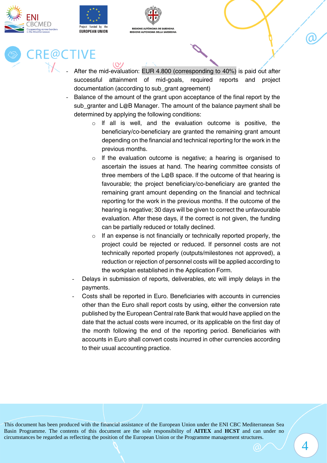



 $(0)$ 



# **RE@CTIVE**

- After the mid-evaluation: EUR 4.800 (corresponding to 40%) is paid out after successful attainment of mid-goals, required reports and project documentation (according to sub\_grant agreement)
- Balance of the amount of the grant upon acceptance of the final report by the sub granter and L@B Manager. The amount of the balance payment shall be determined by applying the following conditions:
	- o lf all is well, and the evaluation outcome is positive, the beneficiary/co-beneficiary are granted the remaining grant amount depending on the financial and technical reporting for the work in the previous months.
	- o lf the evaluation outcome is negative; a hearing is organised to ascertain the issues at hand. The hearing committee consists of three members of the L@B space. lf the outcome of that hearing is favourable; the project beneficiary/co-beneficiary are granted the remaining grant amount depending on the financial and technical reporting for the work in the previous months. lf the outcome of the hearing is negative; 30 days will be given to correct the unfavourable evaluation. After these days, if the correct is not given, the funding can be partially reduced or totally declined.
	- $\circ$  If an expense is not financially or technically reported properly, the project could be rejected or reduced. If personnel costs are not technically reported properly (outputs/milestones not approved), a reduction or rejection of personnel costs will be applied according to the workplan established in the Application Form.
	- Delays in submission of reports, deliverables, etc will imply delays in the payments.
	- Costs shall be reported in Euro. Beneficiaries with accounts in currencies other than the Euro shall report costs by using, either the conversion rate published by the European Central rate Bank that would have applied on the date that the actual costs were incurred, or its applicable on the first day of the month following the end of the reporting period. Beneficiaries with accounts in Euro shall convert costs incurred in other currencies according to their usual accounting practice.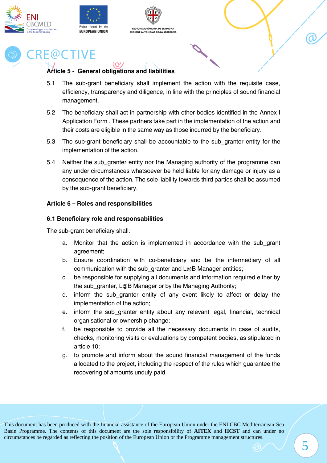





#### **Article 5 - General obligations and liabilities**

- 5.1 The sub-grant beneficiary shall implement the action with the requisite case, efficiency, transparency and diligence, in line with the principles of sound financial management.
- 5.2 The beneficiary shall act in partnership with other bodies identified in the Annex I Application Form . These partners take part in the implementation of the action and their costs are eligible in the same way as those incurred by the beneficiary.
- 5.3 The sub-grant beneficiary shall be accountable to the sub\_granter entity for the implementation of the action.
- 5.4 Neither the sub\_granter entity nor the Managing authority of the programme can any under circumstances whatsoever be held liable for any damage or injury as a consequence of the action. The sole liability towards third parties shall be assumed by the sub-grant beneficiary.

#### **Article 6 – Roles and responsibilities**

#### **6.1 Beneficiary role and responsabilities**

The sub-grant beneficiary shall:

- a. Monitor that the action is implemented in accordance with the sub\_grant agreement;
- b. Ensure coordination with co-beneficiary and be the intermediary of all communication with the sub granter and L@B Manager entities;
- c. be responsible for supplying all documents and information required either by the sub granter, L@B Manager or by the Managing Authority;
- d. inform the sub\_granter entity of any event likely to affect or delay the implementation of the action;
- e. inform the sub\_granter entity about any relevant legal, financial, technical organisational or ownership change;
- f. be responsible to provide all the necessary documents in case of audits, checks, monitoring visits or evaluations by competent bodies, as stipulated in article 10;
- g. to promote and inform about the sound financial management of the funds allocated to the project, including the respect of the rules which guarantee the recovering of amounts unduly paid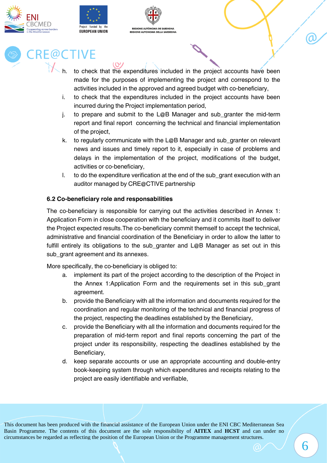





- to check that the expenditures included in the project accounts have been made for the purposes of implementing the project and correspond to the activities included in the approved and agreed budget with co-beneficiary,
- i. to check that the expenditures included in the project accounts have been incurred during the Project implementation period,
- j. to prepare and submit to the L@B Manager and sub\_granter the mid-term report and final report concerning the technical and financial implementation of the project,
- k. to regularly communicate with the L@B Manager and sub\_granter on relevant news and issues and timely report to it, especially in case of problems and delays in the implementation of the project, modifications of the budget, activities or co-beneficiary,
- l. to do the expenditure verification at the end of the sub\_grant execution with an auditor managed by CRE@CTIVE partnership

#### **6.2 Co-beneficiary role and responsabilities**

 $(Q)$ 

The co-beneficiary is responsible for carrying out the activities described in Annex 1: Application Form in close cooperation with the beneficiary and it commits itself to deliver the Project expected results.The co-beneficiary commit themself to accept the technical, administrative and financial coordination of the Beneficiary in order to allow the latter to fulfill entirely its obligations to the sub\_granter and L@B Manager as set out in this sub\_grant agreement and its annexes.

More specifically, the co-beneficiary is obliged to:

- a. implement its part of the project according to the description of the Project in the Annex 1:Application Form and the requirements set in this sub\_grant agreement.
- b. provide the Beneficiary with all the information and documents required for the coordination and regular monitoring of the technical and financial progress of the project, respecting the deadlines established by the Beneficiary,
- c. provide the Beneficiary with all the information and documents required for the preparation of mid-term report and final reports concerning the part of the project under its responsibility, respecting the deadlines established by the Beneficiary,
- d. keep separate accounts or use an appropriate accounting and double-entry book-keeping system through which expenditures and receipts relating to the project are easily identifiable and verifiable,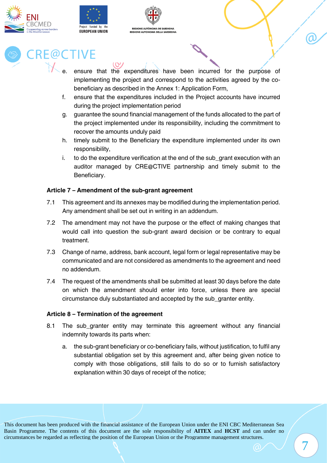





- ensure that the expenditures have been incurred for the purpose of implementing the project and correspond to the activities agreed by the cobeneficiary as described in the Annex 1: Application Form,
- f. ensure that the expenditures included in the Project accounts have incurred during the project implementation period
- g. guarantee the sound financial management of the funds allocated to the part of the project implemented under its responsibility, including the commitment to recover the amounts unduly paid
- h. timely submit to the Beneficiary the expenditure implemented under its own responsibility,
- i. to do the expenditure verification at the end of the sub\_grant execution with an auditor managed by CRE@CTIVE partnership and timely submit to the Beneficiary.

#### **Article 7 – Amendment of the sub-grant agreement**

 $\overline{O}$ 

- 7.1 This agreement and its annexes may be modified during the implementation period. Any amendment shall be set out in writing in an addendum.
- 7.2 The amendment may not have the purpose or the effect of making changes that would call into question the sub-grant award decision or be contrary to equal treatment.
- 7.3 Change of name, address, bank account, legal form or legal representative may be communicated and are not considered as amendments to the agreement and need no addendum.
- 7.4 The request of the amendments shall be submitted at least 30 days before the date on which the amendment should enter into force, unless there are special circumstance duly substantiated and accepted by the sub\_granter entity.

#### **Article 8 – Termination of the agreement**

- 8.1 The sub\_granter entity may terminate this agreement without any financial indemnity towards its parts when:
	- a. the sub-grant beneficiary or co-beneficiary fails, without justification, to fulfil any substantial obligation set by this agreement and, after being given notice to comply with those obligations, still fails to do so or to furnish satisfactory explanation within 30 days of receipt of the notice;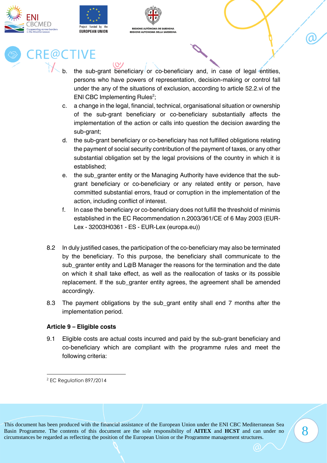





- the sub-grant beneficiary or co-beneficiary and, in case of legal entities, persons who have powers of representation, decision-making or control fall under the any of the situations of exclusion, according to article 52.2.vi of the ENI CBC Implementing Rules<sup>2</sup>;
- c. a change in the legal, financial, technical, organisational situation or ownership of the sub-grant beneficiary or co-beneficiary substantially affects the implementation of the action or calls into question the decision awarding the sub-grant;
- d. the sub-grant beneficiary or co-beneficiary has not fulfilled obligations relating the payment of social security contribution of the payment of taxes, or any other substantial obligation set by the legal provisions of the country in which it is established;
- e. the sub\_granter entity or the Managing Authority have evidence that the subgrant beneficiary or co-beneficiary or any related entity or person, have committed substantial errors, fraud or corruption in the implementation of the action, including conflict of interest.
- f. In case the beneficiary or co-beneficiary does not fulfill the threshold of minimis established in the EC Recommendation n.2003/361/CE of 6 May 2003 (EUR-Lex - 32003H0361 - ES - EUR-Lex (europa.eu))
- 8.2 In duly justified cases, the participation of the co-beneficiary may also be terminated by the beneficiary. To this purpose, the beneficiary shall communicate to the sub\_granter entity and L@B Manager the reasons for the termination and the date on which it shall take effect, as well as the reallocation of tasks or its possible replacement. If the sub\_granter entity agrees, the agreement shall be amended accordingly.
- 8.3 The payment obligations by the sub\_grant entity shall end 7 months after the implementation period.

#### **Article 9 – Eligible costs**

9.1 Eligible costs are actual costs incurred and paid by the sub-grant beneficiary and co-beneficiary which are compliant with the programme rules and meet the following criteria:

8

<sup>2</sup> EC Regulation 897/2014

This document has been produced with the financial assistance of the European Union under the ENI CBC Mediterranean Sea Basin Programme. The contents of this document are the sole responsibility of **AITEX** and **HCST** and can under no circumstances be regarded as reflecting the position of the European Union or the Programme management structures.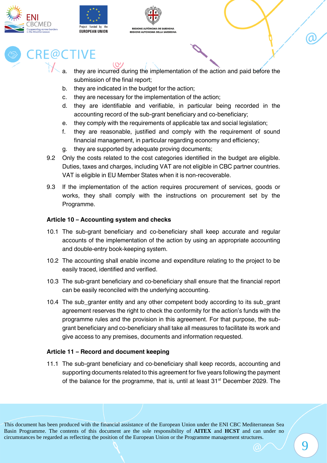





- they are incurred during the implementation of the action and paid before the submission of the final report;
- b. they are indicated in the budget for the action;
- c. they are necessary for the implementation of the action;
- d. they are identifiable and verifiable, in particular being recorded in the accounting record of the sub-grant beneficiary and co-beneficiary;
- e. they comply with the requirements of applicable tax and social legislation;
- f. they are reasonable, justified and comply with the requirement of sound financial management, in particular regarding economy and efficiency;
- g. they are supported by adequate proving documents;
- 9.2 Only the costs related to the cost categories identified in the budget are eligible. Duties, taxes and charges, including VAT are not eligible in CBC partner countries. VAT is eligible in EU Member States when it is non-recoverable.
- 9.3 If the implementation of the action requires procurement of services, goods or works, they shall comply with the instructions on procurement set by the Programme.

#### **Article 10 – Accounting system and checks**

- 10.1 The sub-grant beneficiary and co-beneficiary shall keep accurate and regular accounts of the implementation of the action by using an appropriate accounting and double-entry book-keeping system.
- 10.2 The accounting shall enable income and expenditure relating to the project to be easily traced, identified and verified.
- 10.3 The sub-grant beneficiary and co-beneficiary shall ensure that the financial report can be easily reconciled with the underlying accounting.
- 10.4 The sub\_granter entity and any other competent body according to its sub\_grant agreement reserves the right to check the conformity for the action's funds with the programme rules and the provision in this agreement. For that purpose, the subgrant beneficiary and co-beneficiary shall take all measures to facilitate its work and give access to any premises, documents and information requested.

#### **Article 11 – Record and document keeping**

11.1 The sub-grant beneficiary and co-beneficiary shall keep records, accounting and supporting documents related to this agreement for five years following the payment of the balance for the programme, that is, until at least  $31<sup>st</sup>$  December 2029. The

This document has been produced with the financial assistance of the European Union under the ENI CBC Mediterranean Sea Basin Programme. The contents of this document are the sole responsibility of **AITEX** and **HCST** and can under no circumstances be regarded as reflecting the position of the European Union or the Programme management structures.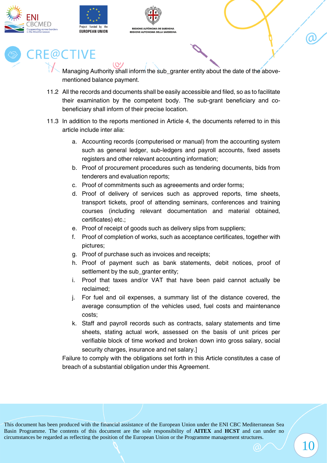





Managing Authority shall inform the sub\_granter entity about the date of the abovementioned balance payment.

- 11.2 All the records and documents shall be easily accessible and filed, so as to facilitate their examination by the competent body. The sub-grant beneficiary and cobeneficiary shall inform of their precise location.
- 11.3 In addition to the reports mentioned in Article 4, the documents referred to in this article include inter alia:
	- a. Accounting records (computerised or manual) from the accounting system such as general ledger, sub-ledgers and payroll accounts, fixed assets registers and other relevant accounting information;
	- b. Proof of procurement procedures such as tendering documents, bids from tenderers and evaluation reports;
	- c. Proof of commitments such as agreeements and order forms;
	- d. Proof of delivery of services such as approved reports, time sheets, transport tickets, proof of attending seminars, conferences and training courses (including relevant documentation and material obtained, certificates) etc.;
	- e. Proof of receipt of goods such as delivery slips from suppliers;
	- f. Proof of completion of works, such as acceptance certificates, together with pictures;
	- g. Proof of purchase such as invoices and receipts;
	- h. Proof of payment such as bank statements, debit notices, proof of settlement by the sub\_granter entity;
	- i. Proof that taxes and/or VAT that have been paid cannot actually be reclaimed;
	- j. For fuel and oil expenses, a summary list of the distance covered, the average consumption of the vehicles used, fuel costs and maintenance costs;
	- k. Staff and payroll records such as contracts, salary statements and time sheets, stating actual work, assessed on the basis of unit prices per verifiable block of time worked and broken down into gross salary, social security charges, insurance and net salary.]

Failure to comply with the obligations set forth in this Article constitutes a case of breach of a substantial obligation under this Agreement.

 $\mathbf{10}$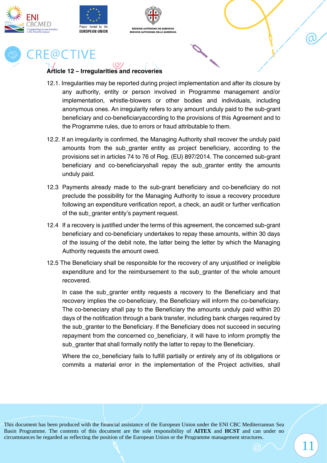





#### **Article 12 – Irregularities and recoveries**

- 12.1. Irregularities may be reported during project implementation and after its closure by any authority, entity or person involved in Programme management and/or implementation, whistle-blowers or other bodies and individuals, including anonymous ones. An irregularity refers to any amount unduly paid to the sub-grant beneficiary and co-beneficiaryaccording to the provisions of this Agreement and to the Programme rules, due to errors or fraud attributable to them.
- 12.2. If an irregularity is confirmed, the Managing Authority shall recover the unduly paid amounts from the sub granter entity as project beneficiary, according to the provisions set in articles 74 to 76 of Reg. (EU) 897/2014. The concerned sub-grant beneficiary and co-beneficiaryshall repay the sub granter entity the amounts unduly paid.
- 12.3 Payments already made to the sub-grant beneficiary and co-beneficiary do not preclude the possibility for the Managing Authority to issue a recovery procedure following an expenditure verification report, a check, an audit or further verification of the sub\_granter entity's payment request.
- 12.4 If a recovery is justified under the terms of this agreement, the concerned sub-grant beneficiary and co-beneficiary undertakes to repay these amounts, within 30 days of the issuing of the debit note, the latter being the letter by which the Managing Authority requests the amount owed.
- 12.5 The Beneficiary shall be responsible for the recovery of any unjustified or ineligible expenditure and for the reimbursement to the sub\_granter of the whole amount recovered.

In case the sub granter entity requests a recovery to the Beneficiary and that recovery implies the co-beneficiary, the Beneficiary will inform the co-beneficiary. The co-beneciary shall pay to the Beneficiary the amounts unduly paid within 20 days of the notification through a bank transfer, including bank charges required by the sub\_granter to the Beneficiary. lf the Beneficiary does not succeed in securing repayment from the concerned co beneficiary, it will have to inform promptly the sub\_granter that shall formally notify the latter to repay to the Beneficiary.

Where the co beneficiary fails to fulfill partially or entirely any of its obligations or commits a material error in the implementation of the Project activities, shall

11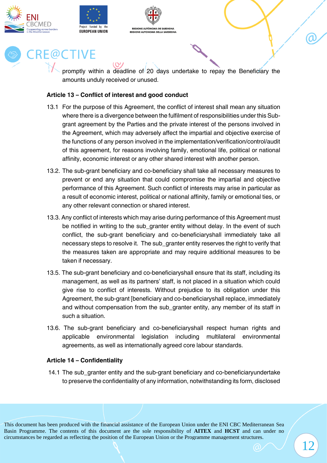





promptly within a deadline of 20 days undertake to repay the Beneficiary the amounts unduly received or unused.

#### **Article 13 – Conflict of interest and good conduct**

- 13.1 For the purpose of this Agreement, the conflict of interest shall mean any situation where there is a divergence between the fulfilment of responsibilities under this Subgrant agreement by the Parties and the private interest of the persons involved in the Agreement, which may adversely affect the impartial and objective exercise of the functions of any person involved in the implementation/verification/control/audit of this agreement, for reasons involving family, emotional life, political or national affinity, economic interest or any other shared interest with another person.
- 13.2. The sub-grant beneficiary and co-beneficiary shall take all necessary measures to prevent or end any situation that could compromise the impartial and objective performance of this Agreement. Such conflict of interests may arise in particular as a result of economic interest, political or national affinity, family or emotional ties, or any other relevant connection or shared interest.
- 13.3. Any conflict of interests which may arise during performance of this Agreement must be notified in writing to the sub\_granter entity without delay. In the event of such conflict, the sub-grant beneficiary and co-beneficiaryshall immediately take all necessary steps to resolve it. The sub granter entity reserves the right to verify that the measures taken are appropriate and may require additional measures to be taken if necessary.
- 13.5. The sub-grant beneficiary and co-beneficiaryshall ensure that its staff, including its management, as well as its partners' staff, is not placed in a situation which could give rise to conflict of interests. Without prejudice to its obligation under this Agreement, the sub-grant [beneficiary and co-beneficiaryshall replace, immediately and without compensation from the sub\_granter entity, any member of its staff in such a situation.
- 13.6. The sub-grant beneficiary and co-beneficiaryshall respect human rights and applicable environmental legislation including multilateral environmental agreements, as well as internationally agreed core labour standards.

#### **Article 14 – Confidentiality**

14.1 The sub\_granter entity and the sub-grant beneficiary and co-beneficiaryundertake to preserve the confidentiality of any information, notwithstanding its form, disclosed α

This document has been produced with the financial assistance of the European Union under the ENI CBC Mediterranean Sea Basin Programme. The contents of this document are the sole responsibility of **AITEX** and **HCST** and can under no circumstances be regarded as reflecting the position of the European Union or the Programme management structures.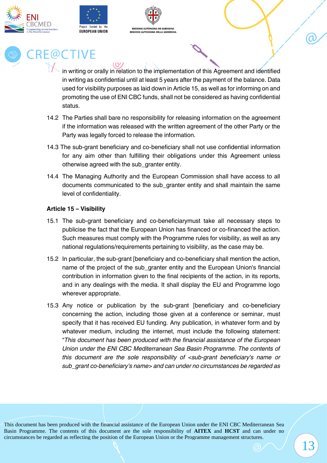





in writing or orally in relation to the implementation of this Agreement and identified in writing as confidential until at least 5 years after the payment of the balance. Data used for visibility purposes as laid down in Article 15, as well as for informing on and promoting the use of ENI CBC funds, shall not be considered as having confidential status.

- 14.2 The Parties shall bare no responsibility for releasing information on the agreement if the information was released with the written agreement of the other Party or the Party was legally forced to release the information.
- 14.3 The sub-grant beneficiary and co-beneficiary shall not use confidential information for any aim other than fulfilling their obligations under this Agreement unless otherwise agreed with the sub\_granter entity.
- 14.4 The Managing Authority and the European Commission shall have access to all documents communicated to the sub\_granter entity and shall maintain the same level of confidentiality.

#### **Article 15 – Visibility**

- 15.1 The sub-grant beneficiary and co-beneficiarymust take all necessary steps to publicise the fact that the European Union has financed or co-financed the action. Such measures must comply with the Programme rules for visibility, as well as any national regulations/requirements pertaining to visibility, as the case may be.
- 15.2 In particular, the sub-grant [beneficiary and co-beneficiary shall mention the action, name of the project of the sub\_granter entity and the European Union's financial contribution in information given to the final recipients of the action, in its reports, and in any dealings with the media. It shall display the EU and Programme logo wherever appropriate.
- 15.3 Any notice or publication by the sub-grant [beneficiary and co-beneficiary concerning the action, including those given at a conference or seminar, must specify that it has received EU funding. Any publication, in whatever form and by whatever medium, including the internet, must include the following statement: "*This document has been produced with the financial assistance of the European Union under the ENI CBC Mediterranean Sea Basin Programme. The contents of this document are the sole responsibility of <sub-grant beneficiary's name or sub\_grant co-beneficiary's name> and can under no circumstances be regarded as*

13

α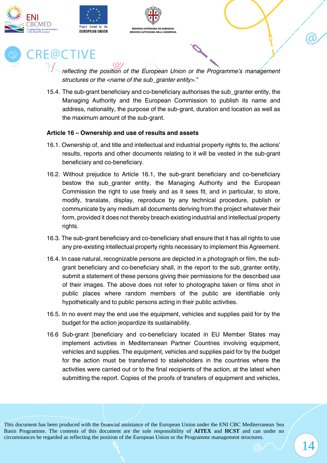







*reflecting the position of the European Union or the Programme's management structures or the <name of the sub\_granter entity>.*"

15.4. The sub-grant beneficiary and co-beneficiary authorises the sub\_granter entity, the Managing Authority and the European Commission to publish its name and address, nationality, the purpose of the sub-grant, duration and location as well as the maximum amount of the sub-grant.

#### **Article 16 – Ownership and use of results and assets**

- 16.1. Ownership of, and title and intellectual and industrial property rights to, the actions' results, reports and other documents relating to it will be vested in the sub-grant beneficiary and co-beneficiary.
- 16.2. Without prejudice to Article 16.1, the sub-grant beneficiary and co-beneficiary bestow the sub\_granter entity, the Managing Authority and the European Commission the right to use freely and as it sees fit, and in particular, to store, modify, translate, display, reproduce by any technical procedure, publish or communicate by any medium all documents deriving from the project whatever their form, provided it does not thereby breach existing industrial and intellectual property rights.
- 16.3. The sub-grant beneficiary and co-beneficiary shall ensure that it has all rights to use any pre-existing intellectual property rights necessary to implement this Agreement.
- 16.4. In case natural, recognizable persons are depicted in a photograph or film, the subgrant beneficiary and co-beneficiary shall, in the report to the sub\_granter entity, submit a statement of these persons giving their permissions for the described use of their images. The above does not refer to photographs taken or films shot in public places where random members of the public are identifiable only hypothetically and to public persons acting in their public activities.
- 16.5. In no event may the end use the equipment, vehicles and supplies paid for by the budget for the action jeopardize its sustainability.
- 16.6 Sub-grant [beneficiary and co-beneficiary located in EU Member States may implement activities in Mediterranean Partner Countries involving equipment, vehicles and supplies. The equipment, vehicles and supplies paid for by the budget for the action must be transferred to stakeholders in the countries where the activities were carried out or to the final recipients of the action, at the latest when submitting the report. Copies of the proofs of transfers of equipment and vehicles,

This document has been produced with the financial assistance of the European Union under the ENI CBC Mediterranean Sea Basin Programme. The contents of this document are the sole responsibility of **AITEX** and **HCST** and can under no circumstances be regarded as reflecting the position of the European Union or the Programme management structures.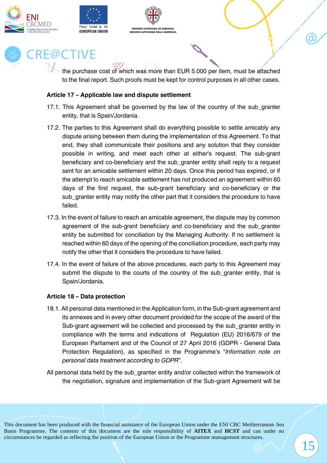





the purchase cost of which was more than EUR 5.000 per item, must be attached to the final report. Such proofs must be kept for control purposes in all other cases.

#### **Article 17 – Applicable law and dispute settlement**

- 17.1. This Agreement shall be governed by the law of the country of the sub granter entity, that is Spain/Jordania.
- 17.2. The parties to this Agreement shall do everything possible to settle amicably any dispute arising between them during the implementation of this Agreement. To that end, they shall communicate their positions and any solution that they consider possible in writing, and meet each other at either's request. The sub-grant beneficiary and co-beneficiary and the sub\_granter entity shall reply to a request sent for an amicable settlement within 20 days. Once this period has expired, or if the attempt to reach amicable settlement has not produced an agreement within 60 days of the first request, the sub-grant beneficiary and co-beneficiary or the sub\_granter entity may notify the other part that it considers the procedure to have failed.
- 17.3. In the event of failure to reach an amicable agreement, the dispute may by common agreement of the sub-grant beneficiary and co-beneficiary and the sub\_granter entity be submitted for conciliation by the Managing Authority. If no settlement is reached within 60 days of the opening of the conciliation procedure, each party may notify the other that it considers the procedure to have failed.
- 17.4. In the event of failure of the above procedures, each party to this Agreement may submit the dispute to the courts of the country of the sub\_granter entity, that is Spain/Jordania.

#### **Article 18 – Data protection**

- 18.1. All personal data mentioned in the Application form, in the Sub-grant agreement and its annexes and in every other document provided for the scope of the award of the Sub-grant agreement will be collected and processed by the sub\_granter entity in compliance with the terms and indications of Regulation (EU) 2016/679 of the European Parliament and of the Council of 27 April 2016 (GDPR - General Data Protection Regulation), as specified in the Programme's "*Information note on personal data treatment according to GDPR*".
- All personal data held by the subarater entity and/or collected within the framework of the negotiation, signature and implementation of the Sub-grant Agreement will be

This document has been produced with the financial assistance of the European Union under the ENI CBC Mediterranean Sea Basin Programme. The contents of this document are the sole responsibility of **AITEX** and **HCST** and can under no circumstances be regarded as reflecting the position of the European Union or the Programme management structures.

α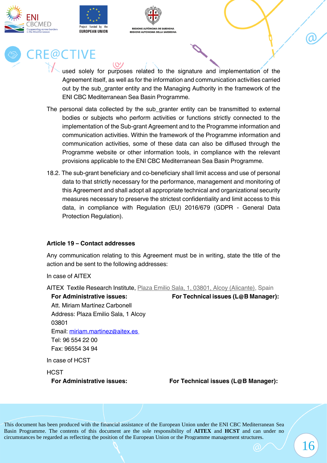





used solely for purposes related to the signature and implementation of the Agreement itself, as well as for the information and communication activities carried out by the sub\_granter entity and the Managing Authority in the framework of the ENI CBC Mediterranean Sea Basin Programme.

- The personal data collected by the sub granter entity can be transmitted to external bodies or subjects who perform activities or functions strictly connected to the implementation of the Sub-grant Agreement and to the Programme information and communication activities. Within the framework of the Programme information and communication activities, some of these data can also be diffused through the Programme website or other information tools, in compliance with the relevant provisions applicable to the ENI CBC Mediterranean Sea Basin Programme.
- 18.2. The sub-grant beneficiary and co-beneficiary shall limit access and use of personal data to that strictly necessary for the performance, management and monitoring of this Agreement and shall adopt all appropriate technical and organizational security measures necessary to preserve the strictest confidentiality and limit access to this data, in compliance with Regulation (EU) 2016/679 (GDPR - General Data Protection Regulation).

#### **Article 19 – Contact addresses**

Any communication relating to this Agreement must be in writing, state the title of the action and be sent to the following addresses:

In case of AITEX

AITEX Textile Research Institute, [Plaza Emilio Sala, 1, 03801, Alcoy \(Alicante\),](https://www.bing.com/local?lid=YN6306x520647009&id=YN6306x520647009&q=AITEX&name=AITEX&cp=38.69728088378906%7e-0.4769900143146515&ppois=38.69728088378906_-0.4769900143146515_AITEX) Spain

**For Administrative issues: For Technical issues (L@B Manager):**

Att. Miriam Martínez Carbonell Address: Plaza Emilio Sala, 1 Alcoy 03801 Email: [miriam.martinez@aitex.es](mailto:miriam.martinez@aitex.es) Tel: 96 554 22 00 Fax: 96554 34 94

In case of HCST

**HCST** 

**For Administrative issues: For Technical issues (L@B Manager):**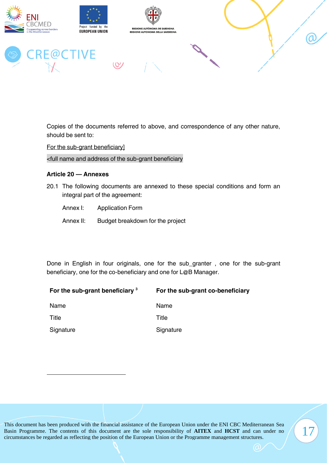

Copies of the documents referred to above, and correspondence of any other nature, should be sent to:

For the sub-grant beneficiary]

<full name and address of the sub-grant beneficiary

#### **Article 20 — Annexes**

- 20.1 The following documents are annexed to these special conditions and form an integral part of the agreement:
	- Annex I: Application Form
	- Annex II: Budget breakdown for the project

Done in English in four originals, one for the sub\_granter , one for the sub-grant beneficiary, one for the co-beneficiary and one for L@B Manager.

| For the sub-grant beneficiary <sup>3</sup> | For the sub-grant co-beneficiary |
|--------------------------------------------|----------------------------------|
| Name                                       | Name                             |
| Title                                      | Title                            |
| Signature                                  | Signature                        |

17

This document has been produced with the financial assistance of the European Union under the ENI CBC Mediterranean Sea Basin Programme. The contents of this document are the sole responsibility of **AITEX** and **HCST** and can under no circumstances be regarded as reflecting the position of the European Union or the Programme management structures.